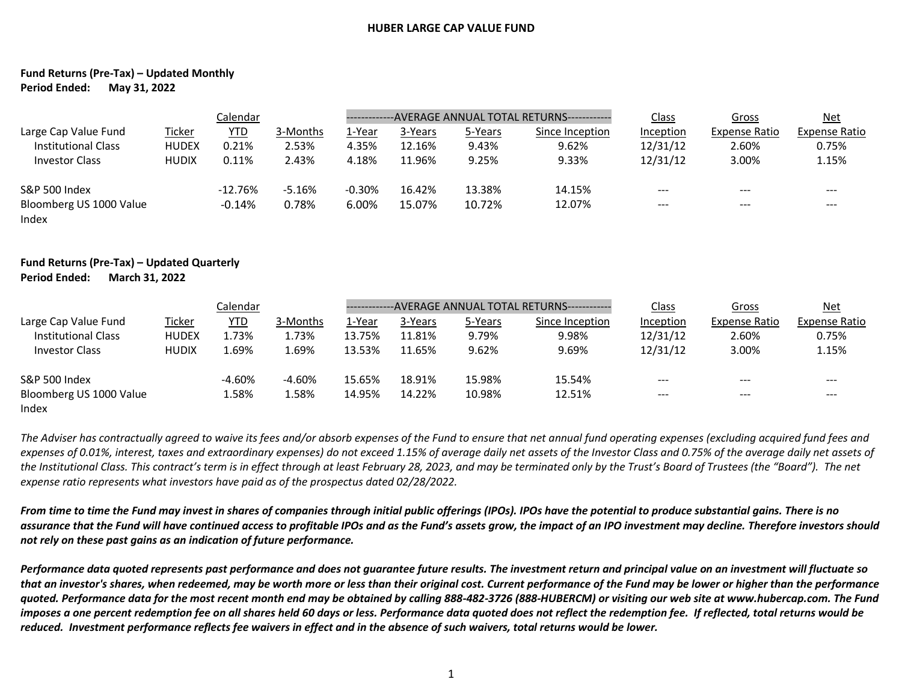## **HUBER LARGE CAP VALUE FUND**

## **Fund Returns (Pre-Tax) – Updated Monthly Period Ended: May 31, 2022**

|                                  | Calendar     |           |          |          | -------------AVERAGE ANNUAL TOTAL RETURNS------------ |         |                 |           | Gross                | $Net$               |
|----------------------------------|--------------|-----------|----------|----------|-------------------------------------------------------|---------|-----------------|-----------|----------------------|---------------------|
| Large Cap Value Fund             | Ticker       | YTD       | 3-Months | 1-Year   | 3-Years                                               | 5-Years | Since Inception | Inception | <b>Expense Ratio</b> | Expense Ratio       |
| <b>Institutional Class</b>       | <b>HUDEX</b> | 0.21%     | 2.53%    | 4.35%    | 12.16%                                                | 9.43%   | 9.62%           | 12/31/12  | 2.60%                | 0.75%               |
| <b>Investor Class</b>            | <b>HUDIX</b> | 0.11%     | 2.43%    | 4.18%    | 11.96%                                                | 9.25%   | 9.33%           | 12/31/12  | 3.00%                | 1.15%               |
| S&P 500 Index                    |              | $-12.76%$ | $-5.16%$ | $-0.30%$ | 16.42%                                                | 13.38%  | 14.15%          | $---$     | ---                  | $\qquad \qquad - -$ |
| Bloomberg US 1000 Value<br>Index |              | $-0.14%$  | 0.78%    | 6.00%    | 15.07%                                                | 10.72%  | 12.07%          | $---$     | ---                  | $- - -$             |

## **Fund Returns (Pre-Tax) – Updated Quarterly Period Ended: March 31, 2022**

|                                  | Calendar      |            |          | ----------- | --AVERAGE ANNUAL TOTAL RETURNS------------ |         |                 |           | Gross         | <u>Net</u>    |
|----------------------------------|---------------|------------|----------|-------------|--------------------------------------------|---------|-----------------|-----------|---------------|---------------|
| Large Cap Value Fund             | <b>Ticker</b> | <b>YTD</b> | 3-Months | 1-Year      | 3-Years                                    | 5-Years | Since Inception | Inception | Expense Ratio | Expense Ratio |
| <b>Institutional Class</b>       | <b>HUDEX</b>  | 1.73%      | 1.73%    | 13.75%      | 11.81%                                     | 9.79%   | 9.98%           | 12/31/12  | 2.60%         | 0.75%         |
| <b>Investor Class</b>            | <b>HUDIX</b>  | 1.69%      | 1.69%    | 13.53%      | 11.65%                                     | 9.62%   | 9.69%           | 12/31/12  | 3.00%         | 1.15%         |
| <b>S&amp;P 500 Index</b>         |               | $-4.60%$   | $-4.60%$ | 15.65%      | 18.91%                                     | 15.98%  | 15.54%          | ---       | ---           | ---           |
| Bloomberg US 1000 Value<br>Index |               | 1.58%      | 1.58%    | 14.95%      | 14.22%                                     | 10.98%  | 12.51%          | ---       | ---           | $-- -$        |

*The Adviser has contractually agreed to waive its fees and/or absorb expenses of the Fund to ensure that net annual fund operating expenses (excluding acquired fund fees and expenses of 0.01%, interest, taxes and extraordinary expenses) do not exceed 1.15% of average daily net assets of the Investor Class and 0.75% of the average daily net assets of*  the Institutional Class. This contract's term is in effect through at least February 28, 2023, and may be terminated only by the Trust's Board of Trustees (the "Board"). The net *expense ratio represents what investors have paid as of the prospectus dated 02/28/2022.*

*From time to time the Fund may invest in shares of companies through initial public offerings (IPOs). IPOs have the potential to produce substantial gains. There is no assurance that the Fund will have continued access to profitable IPOs and as the Fund's assets grow, the impact of an IPO investment may decline. Therefore investors should not rely on these past gains as an indication of future performance.*

*Performance data quoted represents past performance and does not guarantee future results. The investment return and principal value on an investment will fluctuate so that an investor's shares, when redeemed, may be worth more or less than their original cost. Current performance of the Fund may be lower or higher than the performance quoted. Performance data for the most recent month end may be obtained by calling 888-482-3726 (888-HUBERCM) or visiting our web site at www.hubercap.com. The Fund imposes a one percent redemption fee on all shares held 60 days or less. Performance data quoted does not reflect the redemption fee. If reflected, total returns would be reduced. Investment performance reflects fee waivers in effect and in the absence of such waivers, total returns would be lower.*